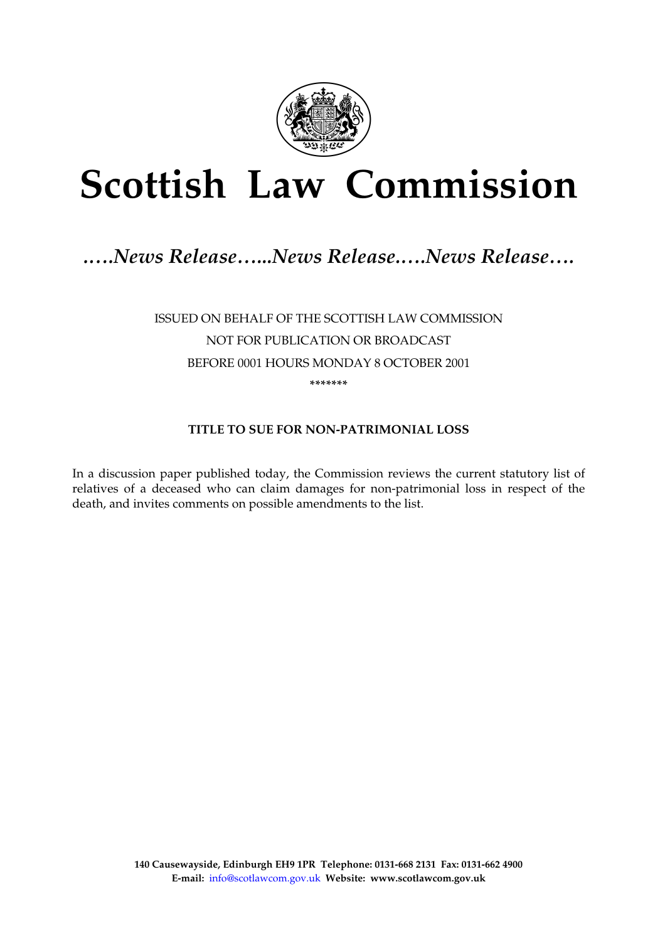

# **Scottish Law Commission**

## *.….News Release…...News Release.….News Release….*

ISSUED ON BEHALF OF THE SCOTTISH LAW COMMISSION NOT FOR PUBLICATION OR BROADCAST BEFORE 0001 HOURS MONDAY 8 OCTOBER 2001 **\*\*\*\*\*\*\*** 

### **TITLE TO SUE FOR NON-PATRIMONIAL LOSS**

In a discussion paper published today, the Commission reviews the current statutory list of relatives of a deceased who can claim damages for non-patrimonial loss in respect of the death, and invites comments on possible amendments to the list.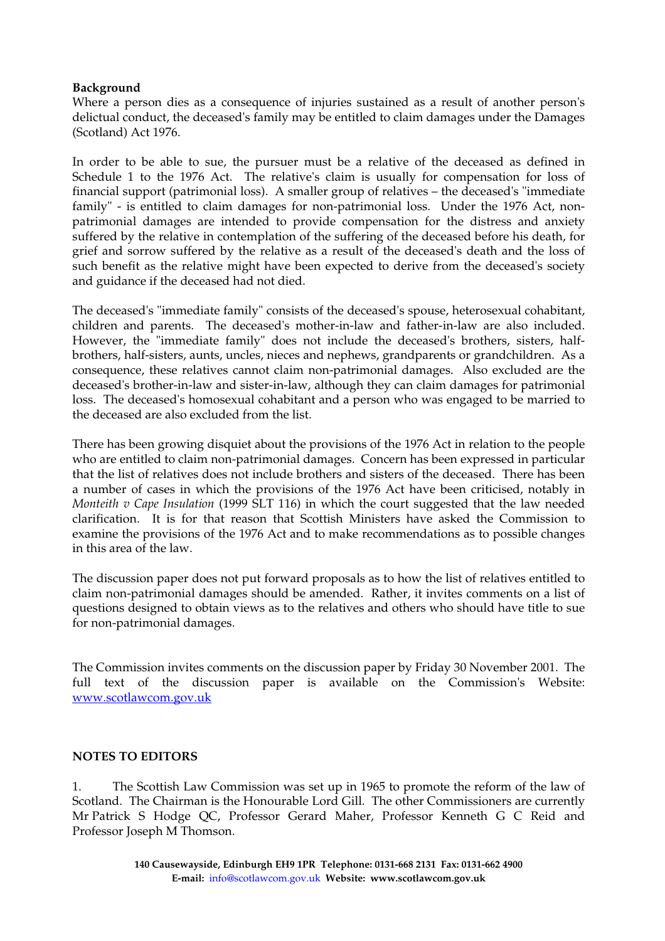#### **Background**

Where a person dies as a consequence of injuries sustained as a result of another person's delictual conduct, the deceased's family may be entitled to claim damages under the Damages (Scotland) Act 1976.

In order to be able to sue, the pursuer must be a relative of the deceased as defined in Schedule 1 to the 1976 Act. The relative's claim is usually for compensation for loss of financial support (patrimonial loss). A smaller group of relatives – the deceased's "immediate family" - is entitled to claim damages for non-patrimonial loss. Under the 1976 Act, nonpatrimonial damages are intended to provide compensation for the distress and anxiety suffered by the relative in contemplation of the suffering of the deceased before his death, for grief and sorrow suffered by the relative as a result of the deceased's death and the loss of such benefit as the relative might have been expected to derive from the deceased's society and guidance if the deceased had not died.

The deceased's "immediate family" consists of the deceased's spouse, heterosexual cohabitant, children and parents. The deceased's mother-in-law and father-in-law are also included. However, the "immediate family" does not include the deceased's brothers, sisters, halfbrothers, half-sisters, aunts, uncles, nieces and nephews, grandparents or grandchildren. As a consequence, these relatives cannot claim non-patrimonial damages. Also excluded are the deceased's brother-in-law and sister-in-law, although they can claim damages for patrimonial loss. The deceased's homosexual cohabitant and a person who was engaged to be married to the deceased are also excluded from the list.

There has been growing disquiet about the provisions of the 1976 Act in relation to the people who are entitled to claim non-patrimonial damages. Concern has been expressed in particular that the list of relatives does not include brothers and sisters of the deceased. There has been a number of cases in which the provisions of the 1976 Act have been criticised, notably in *Monteith v Cape Insulation* (1999 SLT 116) in which the court suggested that the law needed clarification. It is for that reason that Scottish Ministers have asked the Commission to examine the provisions of the 1976 Act and to make recommendations as to possible changes in this area of the law.

The discussion paper does not put forward proposals as to how the list of relatives entitled to claim non-patrimonial damages should be amended. Rather, it invites comments on a list of questions designed to obtain views as to the relatives and others who should have title to sue for non-patrimonial damages.

The Commission invites comments on the discussion paper by Friday 30 November 2001. The full text of the discussion paper is available on the Commission's Website: www.scotlawcom.gov.uk

#### **NOTES TO EDITORS**

1. The Scottish Law Commission was set up in 1965 to promote the reform of the law of Scotland. The Chairman is the Honourable Lord Gill. The other Commissioners are currently Mr Patrick S Hodge QC, Professor Gerard Maher, Professor Kenneth G C Reid and Professor Joseph M Thomson.